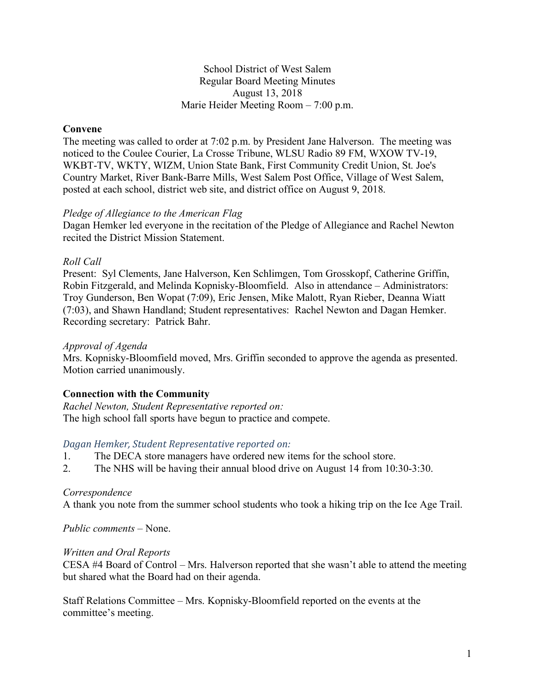#### School District of West Salem Regular Board Meeting Minutes August 13, 2018 Marie Heider Meeting Room – 7:00 p.m.

## **Convene**

The meeting was called to order at 7:02 p.m. by President Jane Halverson. The meeting was noticed to the Coulee Courier, La Crosse Tribune, WLSU Radio 89 FM, WXOW TV-19, WKBT-TV, WKTY, WIZM, Union State Bank, First Community Credit Union, St. Joe's Country Market, River Bank-Barre Mills, West Salem Post Office, Village of West Salem, posted at each school, district web site, and district office on August 9, 2018.

#### *Pledge of Allegiance to the American Flag*

Dagan Hemker led everyone in the recitation of the Pledge of Allegiance and Rachel Newton recited the District Mission Statement.

### *Roll Call*

Present: Syl Clements, Jane Halverson, Ken Schlimgen, Tom Grosskopf, Catherine Griffin, Robin Fitzgerald, and Melinda Kopnisky-Bloomfield. Also in attendance – Administrators: Troy Gunderson, Ben Wopat (7:09), Eric Jensen, Mike Malott, Ryan Rieber, Deanna Wiatt (7:03), and Shawn Handland; Student representatives: Rachel Newton and Dagan Hemker. Recording secretary: Patrick Bahr.

#### *Approval of Agenda*

Mrs. Kopnisky-Bloomfield moved, Mrs. Griffin seconded to approve the agenda as presented. Motion carried unanimously.

# **Connection with the Community**

*Rachel Newton, Student Representative reported on:* The high school fall sports have begun to practice and compete.

#### *Dagan Hemker, Student Representative reported on:*

- 1. The DECA store managers have ordered new items for the school store.
- 2. The NHS will be having their annual blood drive on August 14 from 10:30-3:30.

#### *Correspondence*

A thank you note from the summer school students who took a hiking trip on the Ice Age Trail.

*Public comments –* None.

#### *Written and Oral Reports*

CESA #4 Board of Control – Mrs. Halverson reported that she wasn't able to attend the meeting but shared what the Board had on their agenda.

Staff Relations Committee – Mrs. Kopnisky-Bloomfield reported on the events at the committee's meeting.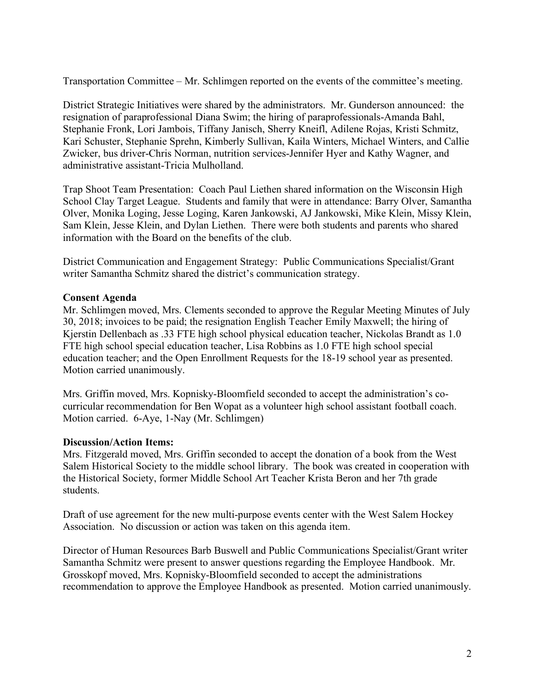Transportation Committee – Mr. Schlimgen reported on the events of the committee's meeting.

District Strategic Initiatives were shared by the administrators. Mr. Gunderson announced: the resignation of paraprofessional Diana Swim; the hiring of paraprofessionals-Amanda Bahl, Stephanie Fronk, Lori Jambois, Tiffany Janisch, Sherry Kneifl, Adilene Rojas, Kristi Schmitz, Kari Schuster, Stephanie Sprehn, Kimberly Sullivan, Kaila Winters, Michael Winters, and Callie Zwicker, bus driver-Chris Norman, nutrition services-Jennifer Hyer and Kathy Wagner, and administrative assistant-Tricia Mulholland.

Trap Shoot Team Presentation: Coach Paul Liethen shared information on the Wisconsin High School Clay Target League. Students and family that were in attendance: Barry Olver, Samantha Olver, Monika Loging, Jesse Loging, Karen Jankowski, AJ Jankowski, Mike Klein, Missy Klein, Sam Klein, Jesse Klein, and Dylan Liethen. There were both students and parents who shared information with the Board on the benefits of the club.

District Communication and Engagement Strategy: Public Communications Specialist/Grant writer Samantha Schmitz shared the district's communication strategy.

### **Consent Agenda**

Mr. Schlimgen moved, Mrs. Clements seconded to approve the Regular Meeting Minutes of July 30, 2018; invoices to be paid; the resignation English Teacher Emily Maxwell; the hiring of Kjerstin Dellenbach as .33 FTE high school physical education teacher, Nickolas Brandt as 1.0 FTE high school special education teacher, Lisa Robbins as 1.0 FTE high school special education teacher; and the Open Enrollment Requests for the 18-19 school year as presented. Motion carried unanimously.

Mrs. Griffin moved, Mrs. Kopnisky-Bloomfield seconded to accept the administration's cocurricular recommendation for Ben Wopat as a volunteer high school assistant football coach. Motion carried. 6-Aye, 1-Nay (Mr. Schlimgen)

#### **Discussion/Action Items:**

Mrs. Fitzgerald moved, Mrs. Griffin seconded to accept the donation of a book from the West Salem Historical Society to the middle school library. The book was created in cooperation with the Historical Society, former Middle School Art Teacher Krista Beron and her 7th grade students.

Draft of use agreement for the new multi-purpose events center with the West Salem Hockey Association. No discussion or action was taken on this agenda item.

Director of Human Resources Barb Buswell and Public Communications Specialist/Grant writer Samantha Schmitz were present to answer questions regarding the Employee Handbook. Mr. Grosskopf moved, Mrs. Kopnisky-Bloomfield seconded to accept the administrations recommendation to approve the Employee Handbook as presented. Motion carried unanimously.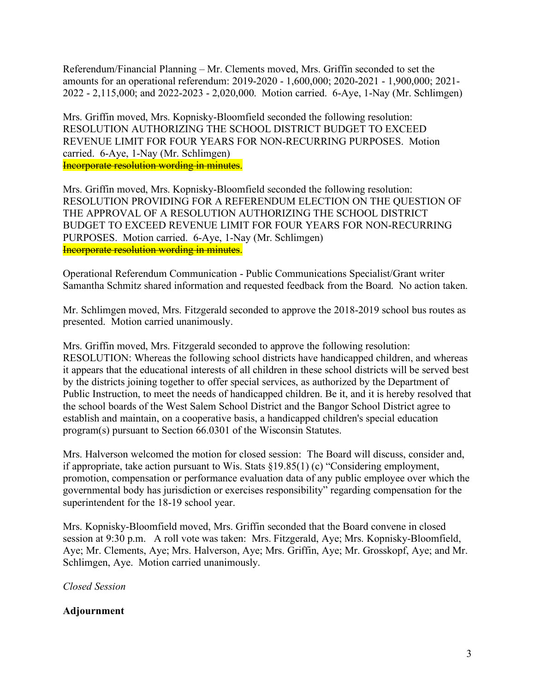Referendum/Financial Planning – Mr. Clements moved, Mrs. Griffin seconded to set the amounts for an operational referendum: 2019-2020 - 1,600,000; 2020-2021 - 1,900,000; 2021- 2022 - 2,115,000; and 2022-2023 - 2,020,000. Motion carried. 6-Aye, 1-Nay (Mr. Schlimgen)

Mrs. Griffin moved, Mrs. Kopnisky-Bloomfield seconded the following resolution: RESOLUTION AUTHORIZING THE SCHOOL DISTRICT BUDGET TO EXCEED REVENUE LIMIT FOR FOUR YEARS FOR NON-RECURRING PURPOSES. Motion carried. 6-Aye, 1-Nay (Mr. Schlimgen) Incorporate resolution wording in minutes.

Mrs. Griffin moved, Mrs. Kopnisky-Bloomfield seconded the following resolution: RESOLUTION PROVIDING FOR A REFERENDUM ELECTION ON THE QUESTION OF THE APPROVAL OF A RESOLUTION AUTHORIZING THE SCHOOL DISTRICT BUDGET TO EXCEED REVENUE LIMIT FOR FOUR YEARS FOR NON-RECURRING PURPOSES. Motion carried. 6-Aye, 1-Nay (Mr. Schlimgen) Incorporate resolution wording in minutes.

Operational Referendum Communication - Public Communications Specialist/Grant writer Samantha Schmitz shared information and requested feedback from the Board. No action taken.

Mr. Schlimgen moved, Mrs. Fitzgerald seconded to approve the 2018-2019 school bus routes as presented. Motion carried unanimously.

Mrs. Griffin moved, Mrs. Fitzgerald seconded to approve the following resolution: RESOLUTION: Whereas the following school districts have handicapped children, and whereas it appears that the educational interests of all children in these school districts will be served best by the districts joining together to offer special services, as authorized by the Department of Public Instruction, to meet the needs of handicapped children. Be it, and it is hereby resolved that the school boards of the West Salem School District and the Bangor School District agree to establish and maintain, on a cooperative basis, a handicapped children's special education program(s) pursuant to Section 66.0301 of the Wisconsin Statutes.

Mrs. Halverson welcomed the motion for closed session: The Board will discuss, consider and, if appropriate, take action pursuant to Wis. Stats §19.85(1) (c) "Considering employment, promotion, compensation or performance evaluation data of any public employee over which the governmental body has jurisdiction or exercises responsibility" regarding compensation for the superintendent for the 18-19 school year.

Mrs. Kopnisky-Bloomfield moved, Mrs. Griffin seconded that the Board convene in closed session at 9:30 p.m. A roll vote was taken: Mrs. Fitzgerald, Aye; Mrs. Kopnisky-Bloomfield, Aye; Mr. Clements, Aye; Mrs. Halverson, Aye; Mrs. Griffin, Aye; Mr. Grosskopf, Aye; and Mr. Schlimgen, Aye. Motion carried unanimously.

*Closed Session*

# **Adjournment**